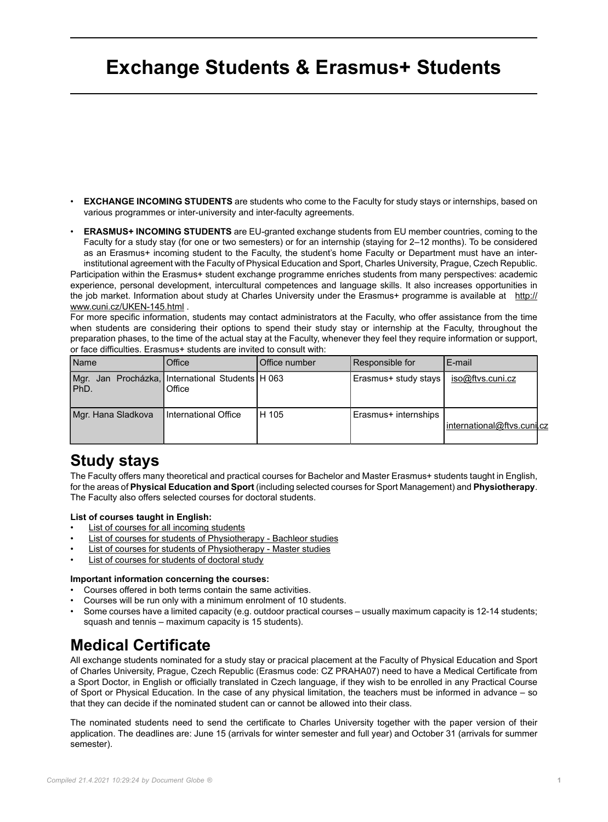# **Exchange Students & Erasmus+ Students**

- **EXCHANGE INCOMING STUDENTS** are students who come to the Faculty for study stays or internships, based on various programmes or inter-university and inter-faculty agreements.
- **ERASMUS+ INCOMING STUDENTS** are EU-granted exchange students from EU member countries, coming to the Faculty for a study stay (for one or two semesters) or for an internship (staying for 2–12 months). To be considered as an Erasmus+ incoming student to the Faculty, the student's home Faculty or Department must have an interinstitutional agreement with the Faculty of Physical Education and Sport, Charles University, Prague, Czech Republic. Participation within the Erasmus+ student exchange programme enriches students from many perspectives: academic experience, personal development, intercultural competences and language skills. It also increases opportunities in the job market. Information about study at Charles University under the Erasmus+ programme is available at [http://](http://www.cuni.cz/UKEN-145.html) [www.cuni.cz/UKEN-145.html](http://www.cuni.cz/UKEN-145.html) .

For more specific information, students may contact administrators at the Faculty, who offer assistance from the time when students are considering their options to spend their study stay or internship at the Faculty, throughout the preparation phases, to the time of the actual stay at the Faculty, whenever they feel they require information or support, or face difficulties. Erasmus+ students are invited to consult with:

| Name               | Office                                                  | Office number | Responsible for      | E-mail                        |
|--------------------|---------------------------------------------------------|---------------|----------------------|-------------------------------|
| Mgr.<br>IPhD.      | Jan Procházka, International Students   H 063<br>Office |               | Erasmus+ study stays | iso@ftvs.cuni.cz              |
| Mgr. Hana Sladkova | International Office                                    | H 105         | Erasmus+ internships | l international@ftvs.cunil.cz |

### **Study stays**

The Faculty offers many theoretical and practical courses for Bachelor and Master Erasmus+ students taught in English, for the areas of **Physical Education and Sport** (including selected courses for Sport Management) and **Physiotherapy**. The Faculty also offers selected courses for doctoral students.

#### **List of courses taught in English:**

- [List of courses for all incoming students](https://is.cuni.cz/studium/eng/predmety/index.php?do=prohl&fak=11510&oborplan=PTVCE&rocnik=&b=Display)
- [List of courses for students of Physiotherapy Bachleor studies](https://is.cuni.cz/studium/eng/predmety/index.php?do=prohl&fak=11510&oborplan=PFBCE&vyuc=&oborsims=)
- [List of courses for students of Physiotherapy Master studies](https://is.cuni.cz/studium/eng/predmety/index.php?do=prohl&fak=11510&oborplan=PFNCE&vyuc=&oborsims=)
- [List of courses for students of doctoral study](http://tarantula.ruk.cuni.cz/ftvsen-232.html)

### **Important information concerning the courses:**

- Courses offered in both terms contain the same activities.
- Courses will be run only with a minimum enrolment of 10 students.
- Some courses have a limited capacity (e.g. outdoor practical courses usually maximum capacity is 12-14 students; squash and tennis – maximum capacity is 15 students).

### **Medical Certificate**

All exchange students nominated for a study stay or pracical placement at the Faculty of Physical Education and Sport of Charles University, Prague, Czech Republic (Erasmus code: CZ PRAHA07) need to have a Medical Certificate from a Sport Doctor, in English or officially translated in Czech language, if they wish to be enrolled in any Practical Course of Sport or Physical Education. In the case of any physical limitation, the teachers must be informed in advance – so that they can decide if the nominated student can or cannot be allowed into their class.

The nominated students need to send the certificate to Charles University together with the paper version of their application. The deadlines are: June 15 (arrivals for winter semester and full year) and October 31 (arrivals for summer semester).